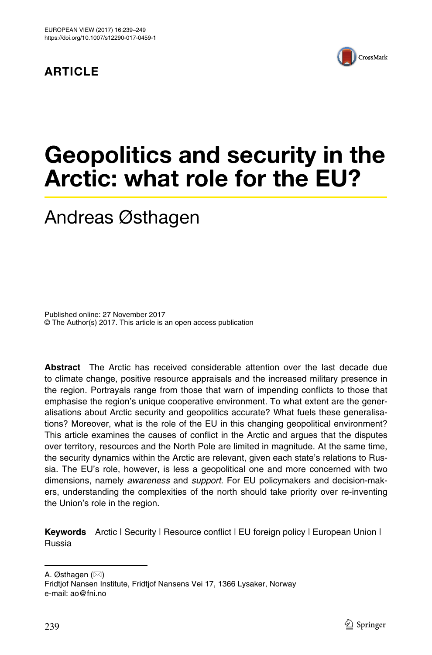#### **ARTICLE**



# **Geopolitics and security in the Arctic: what role for the EU?**

Andreas Østhagen

Published online: 27 November 2017 © The Author(s) 2017. This article is an open access publication

**Abstract** The Arctic has received considerable attention over the last decade due to climate change, positive resource appraisals and the increased military presence in the region. Portrayals range from those that warn of impending conficts to those that emphasise the region's unique cooperative environment. To what extent are the generalisations about Arctic security and geopolitics accurate? What fuels these generalisations? Moreover, what is the role of the EU in this changing geopolitical environment? This article examines the causes of confict in the Arctic and argues that the disputes over territory, resources and the North Pole are limited in magnitude. At the same time, the security dynamics within the Arctic are relevant, given each state's relations to Russia. The EU's role, however, is less a geopolitical one and more concerned with two dimensions, namely *awareness* and *support.* For EU policymakers and decision-makers, understanding the complexities of the north should take priority over re-inventing the Union's role in the region.

**Keywords** Arctic | Security | Resource confict | EU foreign policy | European Union | Russia

A. Østhagen  $(\boxtimes)$ 

Fridtjof Nansen Institute, Fridtjof Nansens Vei 17, 1366 Lysaker, Norway e-mail: ao@fni.no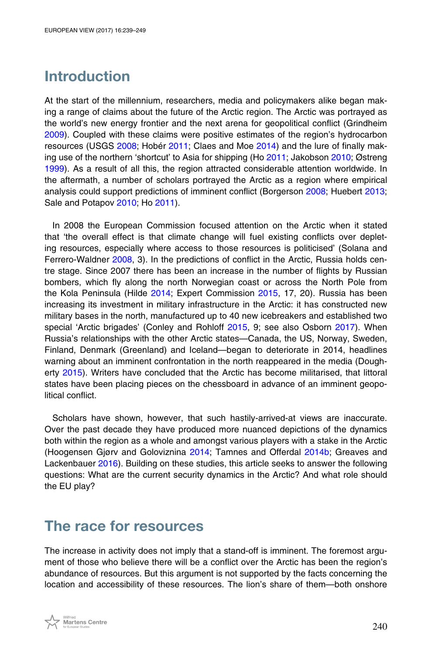### **Introduction**

At the start of the millennium, researchers, media and policymakers alike began making a range of claims about the future of the Arctic region. The Arctic was portrayed as the world's new energy frontier and the next arena for geopolitical confict (Grindheim [2009](#page-7-0)). Coupled with these claims were positive estimates of the region's hydrocarbon resources (USGS [2008](#page-10-0); Hobér [2011;](#page-8-0) Claes and Moe [2014](#page-6-0)) and the lure of fnally mak-ing use of the northern 'shortcut' to Asia for shipping (Ho [2011](#page-8-1); Jakobson [2010](#page-8-2); Østreng [1999](#page-9-0)). As a result of all this, the region attracted considerable attention worldwide. In the aftermath, a number of scholars portrayed the Arctic as a region where empirical analysis could support predictions of imminent confict (Borgerson [2008](#page-6-1); Huebert [2013;](#page-8-3) Sale and Potapov [2010;](#page-9-1) Ho [2011\)](#page-8-1).

In 2008 the European Commission focused attention on the Arctic when it stated that 'the overall effect is that climate change will fuel existing conficts over depleting resources, especially where access to those resources is politicised' (Solana and Ferrero-Waldner [2008](#page-9-2), 3). In the predictions of confict in the Arctic, Russia holds centre stage. Since 2007 there has been an increase in the number of fights by Russian bombers, which fy along the north Norwegian coast or across the North Pole from the Kola Peninsula (Hilde [2014;](#page-8-4) Expert Commission [2015,](#page-7-1) 17, 20). Russia has been increasing its investment in military infrastructure in the Arctic: it has constructed new military bases in the north, manufactured up to 40 new icebreakers and established two special 'Arctic brigades' (Conley and Rohloff [2015,](#page-6-2) 9; see also Osborn [2017](#page-9-3)). When Russia's relationships with the other Arctic states—Canada, the US, Norway, Sweden, Finland, Denmark (Greenland) and Iceland—began to deteriorate in 2014, headlines warning about an imminent confrontation in the north reappeared in the media (Dougherty [2015\)](#page-6-3). Writers have concluded that the Arctic has become militarised, that littoral states have been placing pieces on the chessboard in advance of an imminent geopolitical confict.

Scholars have shown, however, that such hastily-arrived-at views are inaccurate. Over the past decade they have produced more nuanced depictions of the dynamics both within the region as a whole and amongst various players with a stake in the Arctic (Hoogensen Gjørv and Goloviznina [2014](#page-7-2); Tamnes and Offerdal [2014b](#page-9-4); Greaves and Lackenbauer [2016\)](#page-7-3). Building on these studies, this article seeks to answer the following questions: What are the current security dynamics in the Arctic? And what role should the EU play?

#### **The race for resources**

The increase in activity does not imply that a stand-off is imminent. The foremost argument of those who believe there will be a confict over the Arctic has been the region's abundance of resources. But this argument is not supported by the facts concerning the location and accessibility of these resources. The lion's share of them—both onshore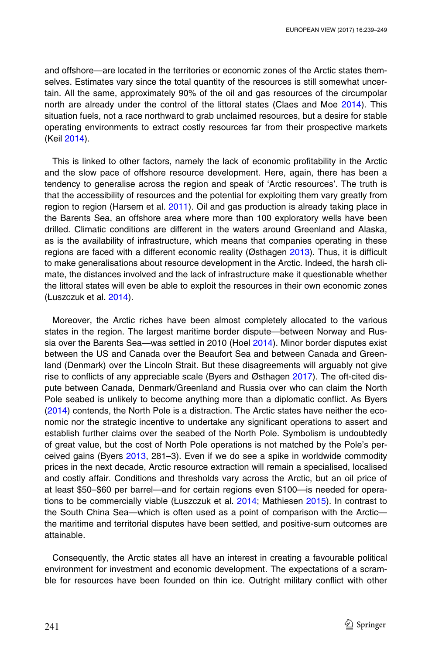and offshore—are located in the territories or economic zones of the Arctic states themselves. Estimates vary since the total quantity of the resources is still somewhat uncertain. All the same, approximately 90% of the oil and gas resources of the circumpolar north are already under the control of the littoral states (Claes and Moe [2014\)](#page-6-0). This situation fuels, not a race northward to grab unclaimed resources, but a desire for stable operating environments to extract costly resources far from their prospective markets (Keil [2014\)](#page-8-5).

This is linked to other factors, namely the lack of economic proftability in the Arctic and the slow pace of offshore resource development. Here, again, there has been a tendency to generalise across the region and speak of 'Arctic resources'. The truth is that the accessibility of resources and the potential for exploiting them vary greatly from region to region (Harsem et al. [2011\)](#page-7-4). Oil and gas production is already taking place in the Barents Sea, an offshore area where more than 100 exploratory wells have been drilled. Climatic conditions are different in the waters around Greenland and Alaska, as is the availability of infrastructure, which means that companies operating in these regions are faced with a different economic reality (Østhagen [2013](#page-9-5)). Thus, it is difficult to make generalisations about resource development in the Arctic. Indeed, the harsh climate, the distances involved and the lack of infrastructure make it questionable whether the littoral states will even be able to exploit the resources in their own economic zones (Łuszczuk et al. [2014](#page-8-6)).

Moreover, the Arctic riches have been almost completely allocated to the various states in the region. The largest maritime border dispute—between Norway and Russia over the Barents Sea—was settled in 2010 (Hoel [2014\)](#page-8-7). Minor border disputes exist between the US and Canada over the Beaufort Sea and between Canada and Greenland (Denmark) over the Lincoln Strait. But these disagreements will arguably not give rise to conflicts of any appreciable scale (Byers and Østhagen [2017\)](#page-6-4). The oft-cited dispute between Canada, Denmark/Greenland and Russia over who can claim the North Pole seabed is unlikely to become anything more than a diplomatic confict. As Byers [\(2014](#page-6-5)) contends, the North Pole is a distraction. The Arctic states have neither the economic nor the strategic incentive to undertake any signifcant operations to assert and establish further claims over the seabed of the North Pole. Symbolism is undoubtedly of great value, but the cost of North Pole operations is not matched by the Pole's perceived gains (Byers [2013](#page-6-6), 281–3). Even if we do see a spike in worldwide commodity prices in the next decade, Arctic resource extraction will remain a specialised, localised and costly affair. Conditions and thresholds vary across the Arctic, but an oil price of at least \$50–\$60 per barrel—and for certain regions even \$100—is needed for opera-tions to be commercially viable (Łuszczuk et al. [2014](#page-8-6); Mathiesen [2015\)](#page-8-8). In contrast to the South China Sea—which is often used as a point of comparison with the Arctic the maritime and territorial disputes have been settled, and positive-sum outcomes are attainable.

Consequently, the Arctic states all have an interest in creating a favourable political environment for investment and economic development. The expectations of a scramble for resources have been founded on thin ice. Outright military confict with other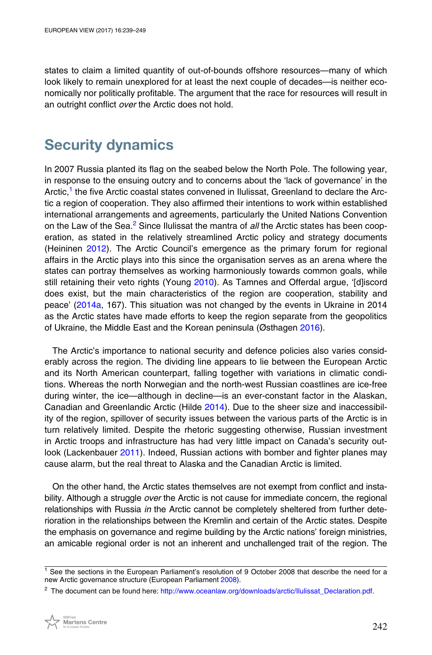states to claim a limited quantity of out-of-bounds offshore resources—many of which look likely to remain unexplored for at least the next couple of decades—is neither economically nor politically proftable. The argument that the race for resources will result in an outright confict *over* the Arctic does not hold.

## **Security dynamics**

In 2007 Russia planted its flag on the seabed below the North Pole. The following year, in response to the ensuing outcry and to concerns about the 'lack of governance' in the Arctic,<sup>1</sup> the five Arctic coastal states convened in Ilulissat, Greenland to declare the Arctic a region of cooperation. They also affrmed their intentions to work within established international arrangements and agreements, particularly the United Nations Convention on the Law of the Sea.<sup>2</sup> Since Ilulissat the mantra of all the Arctic states has been cooperation, as stated in the relatively streamlined Arctic policy and strategy documents (Heininen [2012](#page-7-5)). The Arctic Council's emergence as the primary forum for regional affairs in the Arctic plays into this since the organisation serves as an arena where the states can portray themselves as working harmoniously towards common goals, while still retaining their veto rights (Young [2010\)](#page-10-1). As Tamnes and Offerdal argue, '[d]iscord does exist, but the main characteristics of the region are cooperation, stability and peace' [\(2014a](#page-9-6), 167). This situation was not changed by the events in Ukraine in 2014 as the Arctic states have made efforts to keep the region separate from the geopolitics of Ukraine, the Middle East and the Korean peninsula (Østhagen [2016\)](#page-9-7).

The Arctic's importance to national security and defence policies also varies considerably across the region. The dividing line appears to lie between the European Arctic and its North American counterpart, falling together with variations in climatic conditions. Whereas the north Norwegian and the north-west Russian coastlines are ice-free during winter, the ice—although in decline—is an ever-constant factor in the Alaskan, Canadian and Greenlandic Arctic (Hilde [2014](#page-8-4)). Due to the sheer size and inaccessibility of the region, spillover of security issues between the various parts of the Arctic is in turn relatively limited. Despite the rhetoric suggesting otherwise, Russian investment in Arctic troops and infrastructure has had very little impact on Canada's security out-look (Lackenbauer [2011](#page-8-9)). Indeed, Russian actions with bomber and fighter planes may cause alarm, but the real threat to Alaska and the Canadian Arctic is limited.

On the other hand, the Arctic states themselves are not exempt from confict and instability. Although a struggle *over* the Arctic is not cause for immediate concern, the regional relationships with Russia *in* the Arctic cannot be completely sheltered from further deterioration in the relationships between the Kremlin and certain of the Arctic states. Despite the emphasis on governance and regime building by the Arctic nations' foreign ministries, an amicable regional order is not an inherent and unchallenged trait of the region. The

<span id="page-3-0"></span> $<sup>1</sup>$  See the sections in the European Parliament's resolution of 9 October 2008 that describe the need for a</sup> new Arctic governance structure (European Parliament [2008\)](#page-7-6).

<span id="page-3-1"></span><sup>2</sup> The document can be found here: [http://www.oceanlaw.org/downloads/arctic/Ilulissat\\_Declaration.pdf.](http://www.oceanlaw.org/downloads/arctic/Ilulissat_Declaration.pdf)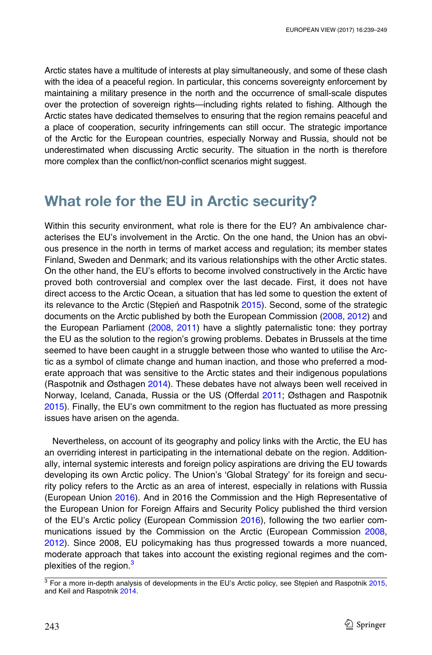Arctic states have a multitude of interests at play simultaneously, and some of these clash with the idea of a peaceful region. In particular, this concerns sovereignty enforcement by maintaining a military presence in the north and the occurrence of small-scale disputes over the protection of sovereign rights—including rights related to fshing. Although the Arctic states have dedicated themselves to ensuring that the region remains peaceful and a place of cooperation, security infringements can still occur. The strategic importance of the Arctic for the European countries, especially Norway and Russia, should not be underestimated when discussing Arctic security. The situation in the north is therefore more complex than the confict/non-confict scenarios might suggest.

### **What role for the EU in Arctic security?**

Within this security environment, what role is there for the EU? An ambivalence characterises the EU's involvement in the Arctic. On the one hand, the Union has an obvious presence in the north in terms of market access and regulation; its member states Finland, Sweden and Denmark; and its various relationships with the other Arctic states. On the other hand, the EU's efforts to become involved constructively in the Arctic have proved both controversial and complex over the last decade. First, it does not have direct access to the Arctic Ocean, a situation that has led some to question the extent of its relevance to the Arctic (Stępień and Raspotnik [2015\)](#page-9-8). Second, some of the strategic documents on the Arctic published by both the European Commission ([2008,](#page-6-7) [2012\)](#page-7-7) and the European Parliament ([2008,](#page-7-6) [2011](#page-7-8)) have a slightly paternalistic tone: they portray the EU as the solution to the region's growing problems. Debates in Brussels at the time seemed to have been caught in a struggle between those who wanted to utilise the Arctic as a symbol of climate change and human inaction, and those who preferred a moderate approach that was sensitive to the Arctic states and their indigenous populations (Raspotnik and Østhagen [2014\)](#page-9-9). These debates have not always been well received in Norway, Iceland, Canada, Russia or the US (Offerdal [2011](#page-8-10); Østhagen and Raspotnik [2015](#page-9-10)). Finally, the EU's own commitment to the region has fuctuated as more pressing issues have arisen on the agenda.

Nevertheless, on account of its geography and policy links with the Arctic, the EU has an overriding interest in participating in the international debate on the region. Additionally, internal systemic interests and foreign policy aspirations are driving the EU towards developing its own Arctic policy. The Union's 'Global Strategy' for its foreign and security policy refers to the Arctic as an area of interest, especially in relations with Russia (European Union [2016](#page-7-9)). And in 2016 the Commission and the High Representative of the European Union for Foreign Affairs and Security Policy published the third version of the EU's Arctic policy (European Commission [2016](#page-7-10)), following the two earlier communications issued by the Commission on the Arctic (European Commission [2008,](#page-6-7) [2012](#page-7-7)). Since 2008, EU policymaking has thus progressed towards a more nuanced, moderate approach that takes into account the existing regional regimes and the com-plexities of the region.<sup>[3](#page-4-0)</sup>

<span id="page-4-0"></span><sup>&</sup>lt;sup>3</sup> For a more in-depth analysis of developments in the EU's Arctic policy, see Stępień and Raspotnik [2015,](#page-9-8) and Keil and Raspotnik [2014.](#page-8-11)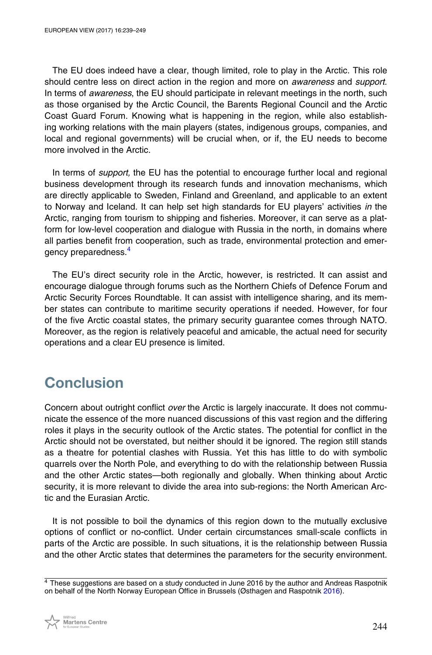The EU does indeed have a clear, though limited, role to play in the Arctic. This role should centre less on direct action in the region and more on *awareness* and *support.* In terms of *awareness*, the EU should participate in relevant meetings in the north, such as those organised by the Arctic Council, the Barents Regional Council and the Arctic Coast Guard Forum. Knowing what is happening in the region, while also establishing working relations with the main players (states, indigenous groups, companies, and local and regional governments) will be crucial when, or if, the EU needs to become more involved in the Arctic.

In terms of *support,* the EU has the potential to encourage further local and regional business development through its research funds and innovation mechanisms, which are directly applicable to Sweden, Finland and Greenland, and applicable to an extent to Norway and Iceland. It can help set high standards for EU players' activities *in* the Arctic, ranging from tourism to shipping and fisheries. Moreover, it can serve as a platform for low-level cooperation and dialogue with Russia in the north, in domains where all parties beneft from cooperation, such as trade, environmental protection and emer-gency preparedness.<sup>[4](#page-5-0)</sup>

The EU's direct security role in the Arctic, however, is restricted. It can assist and encourage dialogue through forums such as the Northern Chiefs of Defence Forum and Arctic Security Forces Roundtable. It can assist with intelligence sharing, and its member states can contribute to maritime security operations if needed. However, for four of the fve Arctic coastal states, the primary security guarantee comes through NATO. Moreover, as the region is relatively peaceful and amicable, the actual need for security operations and a clear EU presence is limited.

# **Conclusion**

Concern about outright confict *over* the Arctic is largely inaccurate. It does not communicate the essence of the more nuanced discussions of this vast region and the differing roles it plays in the security outlook of the Arctic states. The potential for confict in the Arctic should not be overstated, but neither should it be ignored. The region still stands as a theatre for potential clashes with Russia. Yet this has little to do with symbolic quarrels over the North Pole, and everything to do with the relationship between Russia and the other Arctic states—both regionally and globally. When thinking about Arctic security, it is more relevant to divide the area into sub-regions: the North American Arctic and the Eurasian Arctic.

It is not possible to boil the dynamics of this region down to the mutually exclusive options of confict or no-confict. Under certain circumstances small-scale conficts in parts of the Arctic are possible. In such situations, it is the relationship between Russia and the other Arctic states that determines the parameters for the security environment.

<span id="page-5-0"></span><sup>&</sup>lt;sup>4</sup> These suggestions are based on a study conducted in June 2016 by the author and Andreas Raspotnik on behalf of the North Norway European Office in Brussels (Østhagen and Raspotnik [2016\)](#page-9-11).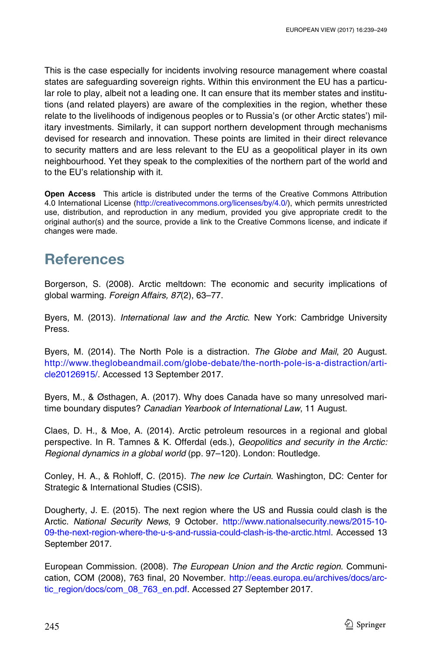This is the case especially for incidents involving resource management where coastal states are safeguarding sovereign rights. Within this environment the EU has a particular role to play, albeit not a leading one. It can ensure that its member states and institutions (and related players) are aware of the complexities in the region, whether these relate to the livelihoods of indigenous peoples or to Russia's (or other Arctic states') military investments. Similarly, it can support northern development through mechanisms devised for research and innovation. These points are limited in their direct relevance to security matters and are less relevant to the EU as a geopolitical player in its own neighbourhood. Yet they speak to the complexities of the northern part of the world and to the EU's relationship with it.

**Open Access** This article is distributed under the terms of the Creative Commons Attribution 4.0 International License ([http://creativecommons.org/licenses/by/4.0/\)](http://creativecommons.org/licenses/by/4.0/), which permits unrestricted use, distribution, and reproduction in any medium, provided you give appropriate credit to the original author(s) and the source, provide a link to the Creative Commons license, and indicate if changes were made.

## **References**

<span id="page-6-1"></span>Borgerson, S. (2008). Arctic meltdown: The economic and security implications of global warming. *Foreign Affairs, 87*(2), 63–77.

<span id="page-6-6"></span>Byers, M. (2013). *International law and the Arctic*. New York: Cambridge University Press.

<span id="page-6-5"></span>Byers, M. (2014). The North Pole is a distraction. *The Globe and Mail*, 20 August. [http://www.theglobeandmail.com/globe-debate/the-north-pole-is-a-distraction/arti](http://www.theglobeandmail.com/globe-debate/the-north-pole-is-a-distraction/article20126915/)[cle20126915/](http://www.theglobeandmail.com/globe-debate/the-north-pole-is-a-distraction/article20126915/). Accessed 13 September 2017.

<span id="page-6-4"></span>Byers, M., & Østhagen, A. (2017). Why does Canada have so many unresolved maritime boundary disputes? *Canadian Yearbook of International Law*, 11 August.

<span id="page-6-0"></span>Claes, D. H., & Moe, A. (2014). Arctic petroleum resources in a regional and global perspective. In R. Tamnes & K. Offerdal (eds.), *Geopolitics and security in the Arctic: Regional dynamics in a global world* (pp. 97–120). London: Routledge.

<span id="page-6-2"></span>Conley, H. A., & Rohloff, C. (2015). *The new Ice Curtain*. Washington, DC: Center for Strategic & International Studies (CSIS).

<span id="page-6-3"></span>Dougherty, J. E. (2015). The next region where the US and Russia could clash is the Arctic. *National Security News*, 9 October. [http://www.nationalsecurity.news/2015-10-](http://www.nationalsecurity.news/2015-10-09-the-next-region-where-the-u-s-and-russia-could-clash-is-the-arctic.html) [09-the-next-region-where-the-u-s-and-russia-could-clash-is-the-arctic.html.](http://www.nationalsecurity.news/2015-10-09-the-next-region-where-the-u-s-and-russia-could-clash-is-the-arctic.html) Accessed 13 September 2017.

<span id="page-6-7"></span>European Commission. (2008). *The European Union and the Arctic region*. Communication, COM (2008), 763 fnal, 20 November. [http://eeas.europa.eu/archives/docs/arc](http://eeas.europa.eu/archives/docs/arctic_region/docs/com_08_763_en.pdf)[tic\\_region/docs/com\\_08\\_763\\_en.pdf](http://eeas.europa.eu/archives/docs/arctic_region/docs/com_08_763_en.pdf). Accessed 27 September 2017.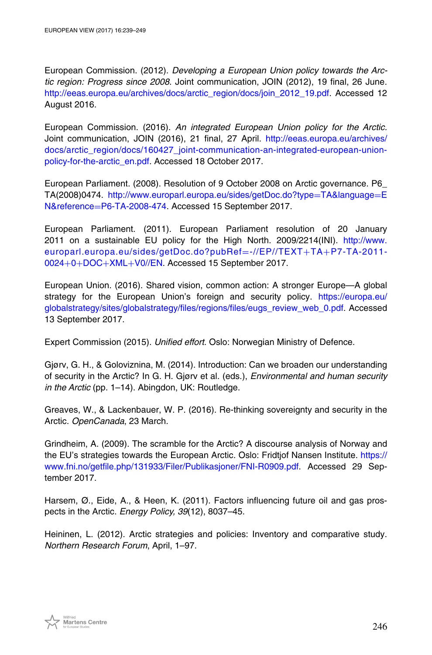<span id="page-7-7"></span>European Commission. (2012). *Developing a European Union policy towards the Arctic region: Progress since 2008*. Joint communication, JOIN (2012), 19 fnal, 26 June. [http://eeas.europa.eu/archives/docs/arctic\\_region/docs/join\\_2012\\_19.pdf](http://eeas.europa.eu/archives/docs/arctic_region/docs/join_2012_19.pdf). Accessed 12 August 2016.

<span id="page-7-10"></span>European Commission. (2016). *An integrated European Union policy for the Arctic.* Joint communication, JOIN (2016), 21 fnal, 27 April. [http://eeas.europa.eu/archives/](http://eeas.europa.eu/archives/docs/arctic_region/docs/160427_joint-communication-an-integrated-european-union-policy-for-the-arctic_en.pdf) [docs/arctic\\_region/docs/160427\\_joint-communication-an-integrated-european-union](http://eeas.europa.eu/archives/docs/arctic_region/docs/160427_joint-communication-an-integrated-european-union-policy-for-the-arctic_en.pdf)[policy-for-the-arctic\\_en.pdf.](http://eeas.europa.eu/archives/docs/arctic_region/docs/160427_joint-communication-an-integrated-european-union-policy-for-the-arctic_en.pdf) Accessed 18 October 2017.

<span id="page-7-6"></span>European Parliament. (2008). Resolution of 9 October 2008 on Arctic governance. P6\_ TA(2008)0474. [http://www.europarl.europa.eu/sides/getDoc.do?type](http://www.europarl.europa.eu/sides/getDoc.do?type=TA&language=EN&reference=P6-TA-2008-474)=TA&language=E N&reference=[P6-TA-2008-474](http://www.europarl.europa.eu/sides/getDoc.do?type=TA&language=EN&reference=P6-TA-2008-474). Accessed 15 September 2017.

<span id="page-7-8"></span>European Parliament. (2011). European Parliament resolution of 20 January 2011 on a sustainable EU policy for the High North. 2009/2214(INI). [http://www.](http://www.europarl.europa.eu/sides/getDoc.do?pubRef=-//EP//TEXT+TA+P7-TA-2011-0024+0+DOC+XML+V0//EN) [europarl.europa.eu/sides/getDoc.do?pubRef](http://www.europarl.europa.eu/sides/getDoc.do?pubRef=-//EP//TEXT+TA+P7-TA-2011-0024+0+DOC+XML+V0//EN)=-//EP//TEXT+TA+P7-TA-2011- 0024+0+DOC+XML+[V0//EN](http://www.europarl.europa.eu/sides/getDoc.do?pubRef=-//EP//TEXT+TA+P7-TA-2011-0024+0+DOC+XML+V0//EN). Accessed 15 September 2017.

<span id="page-7-9"></span>European Union. (2016). Shared vision, common action: A stronger Europe—A global strategy for the European Union's foreign and security policy. [https://europa.eu/](https://europa.eu/globalstrategy/sites/globalstrategy/files/regions/files/eugs_review_web_0.pdf) [globalstrategy/sites/globalstrategy/fles/regions/fles/eugs\\_review\\_web\\_0.pdf](https://europa.eu/globalstrategy/sites/globalstrategy/files/regions/files/eugs_review_web_0.pdf). Accessed 13 September 2017.

<span id="page-7-1"></span>Expert Commission (2015). *Unifed effort*. Oslo: Norwegian Ministry of Defence.

<span id="page-7-2"></span>Gjørv, G. H., & Goloviznina, M. (2014). Introduction: Can we broaden our understanding of security in the Arctic? In G. H. Gjørv et al. (eds.), *Environmental and human security in the Arctic* (pp. 1–14). Abingdon, UK: Routledge.

<span id="page-7-3"></span>Greaves, W., & Lackenbauer, W. P. (2016). Re-thinking sovereignty and security in the Arctic. *OpenCanada*, 23 March.

<span id="page-7-0"></span>Grindheim, A. (2009). The scramble for the Arctic? A discourse analysis of Norway and the EU's strategies towards the European Arctic. Oslo: Fridtiof Nansen Institute. [https://](https://www.fni.no/getfile.php/131933/Filer/Publikasjoner/FNI-R0909.pdf) [www.fni.no/getfle.php/131933/Filer/Publikasjoner/FNI-R0909.pdf.](https://www.fni.no/getfile.php/131933/Filer/Publikasjoner/FNI-R0909.pdf) Accessed 29 September 2017.

<span id="page-7-4"></span>Harsem, Ø., Eide, A., & Heen, K. (2011). Factors infuencing future oil and gas prospects in the Arctic. *Energy Policy, 39*(12), 8037–45.

<span id="page-7-5"></span>Heininen, L. (2012). Arctic strategies and policies: Inventory and comparative study. *Northern Research Forum*, April, 1–97.

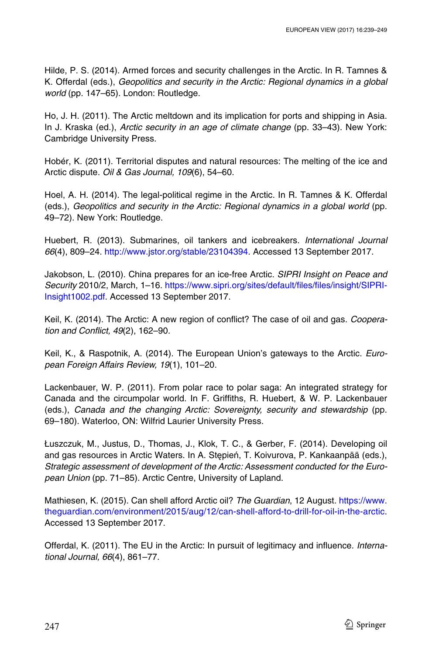<span id="page-8-4"></span>Hilde, P. S. (2014). Armed forces and security challenges in the Arctic. In R. Tamnes & K. Offerdal (eds.), *Geopolitics and security in the Arctic: Regional dynamics in a global world* (pp. 147–65). London: Routledge.

<span id="page-8-1"></span>Ho, J. H. (2011). The Arctic meltdown and its implication for ports and shipping in Asia. In J. Kraska (ed.), *Arctic security in an age of climate change* (pp. 33–43). New York: Cambridge University Press.

<span id="page-8-0"></span>Hobér, K. (2011). Territorial disputes and natural resources: The melting of the ice and Arctic dispute. *Oil & Gas Journal, 109*(6), 54–60.

<span id="page-8-7"></span>Hoel, A. H. (2014). The legal-political regime in the Arctic. In R. Tamnes & K. Offerdal (eds.), *Geopolitics and security in the Arctic: Regional dynamics in a global world* (pp. 49–72). New York: Routledge.

<span id="page-8-3"></span>Huebert, R. (2013). Submarines, oil tankers and icebreakers. *International Journal 66*(4), 809–24.<http://www.jstor.org/stable/23104394>. Accessed 13 September 2017.

<span id="page-8-2"></span>Jakobson, L. (2010). China prepares for an ice-free Arctic. *SIPRI Insight on Peace and Security* 2010/2, March, 1–16. [https://www.sipri.org/sites/default/fles/fles/insight/SIPRI-](https://www.sipri.org/sites/default/files/files/insight/SIPRIInsight1002.pdf)[Insight1002.pdf.](https://www.sipri.org/sites/default/files/files/insight/SIPRIInsight1002.pdf) Accessed 13 September 2017.

<span id="page-8-5"></span>Keil, K. (2014). The Arctic: A new region of confict? The case of oil and gas. *Cooperation and Confict, 49*(2), 162–90.

<span id="page-8-11"></span>Keil, K., & Raspotnik, A. (2014). The European Union's gateways to the Arctic. *European Foreign Affairs Review, 19*(1), 101–20.

<span id="page-8-9"></span>Lackenbauer, W. P. (2011). From polar race to polar saga: An integrated strategy for Canada and the circumpolar world. In F. Griffths, R. Huebert, & W. P. Lackenbauer (eds.), *Canada and the changing Arctic: Sovereignty, security and stewardship* (pp. 69–180). Waterloo, ON: Wilfrid Laurier University Press.

<span id="page-8-6"></span>Łuszczuk, M., Justus, D., Thomas, J., Klok, T. C., & Gerber, F. (2014). Developing oil and gas resources in Arctic Waters. In A. Stępień, T. Koivurova, P. Kankaanpää (eds.), *Strategic assessment of development of the Arctic: Assessment conducted for the European Union* (pp. 71–85). Arctic Centre, University of Lapland.

<span id="page-8-8"></span>Mathiesen, K. (2015). Can shell afford Arctic oil? *The Guardian*, 12 August. [https://www.](https://www.theguardian.com/environment/2015/aug/12/can-shell-afford-to-drill-for-oil-in-the-arctic) [theguardian.com/environment/2015/aug/12/can-shell-afford-to-drill-for-oil-in-the-arctic.](https://www.theguardian.com/environment/2015/aug/12/can-shell-afford-to-drill-for-oil-in-the-arctic) Accessed 13 September 2017.

<span id="page-8-10"></span>Offerdal, K. (2011). The EU in the Arctic: In pursuit of legitimacy and infuence. *International Journal, 66*(4), 861–77.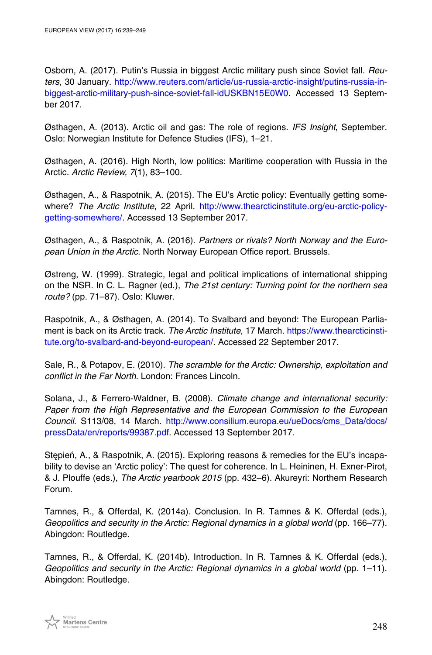<span id="page-9-3"></span>Osborn, A. (2017). Putin's Russia in biggest Arctic military push since Soviet fall. *Reuters*, 30 January. [http://www.reuters.com/article/us-russia-arctic-insight/putins-russia-in](http://www.reuters.com/article/us-russia-arctic-insight/putins-russia-in-biggest-arctic-military-push-since-soviet-fall-idUSKBN15E0W0)[biggest-arctic-military-push-since-soviet-fall-idUSKBN15E0W0](http://www.reuters.com/article/us-russia-arctic-insight/putins-russia-in-biggest-arctic-military-push-since-soviet-fall-idUSKBN15E0W0). Accessed 13 September 2017.

<span id="page-9-5"></span>Østhagen, A. (2013). Arctic oil and gas: The role of regions. *IFS Insight*, September. Oslo: Norwegian Institute for Defence Studies (IFS), 1–21.

<span id="page-9-7"></span>Østhagen, A. (2016). High North, low politics: Maritime cooperation with Russia in the Arctic. *Arctic Review, 7*(1), 83–100.

<span id="page-9-10"></span>Østhagen, A., & Raspotnik, A. (2015). The EU's Arctic policy: Eventually getting somewhere? *The Arctic Institute*, 22 April. [http://www.thearcticinstitute.org/eu-arctic-policy](http://www.thearcticinstitute.org/eu-arctic-policy-getting-somewhere/)[getting-somewhere/](http://www.thearcticinstitute.org/eu-arctic-policy-getting-somewhere/). Accessed 13 September 2017.

<span id="page-9-11"></span>Østhagen, A., & Raspotnik, A. (2016). *Partners or rivals? North Norway and the Euro*pean Union in the Arctic. North Norway European Office report. Brussels.

<span id="page-9-0"></span>Østreng, W. (1999). Strategic, legal and political implications of international shipping on the NSR. In C. L. Ragner (ed.), *The 21st century: Turning point for the northern sea route?* (pp. 71–87). Oslo: Kluwer.

<span id="page-9-9"></span>Raspotnik, A., & Østhagen, A. (2014). To Svalbard and beyond: The European Parliament is back on its Arctic track. *The Arctic Institute*, 17 March. [https://www.thearcticinsti](https://www.thearcticinstitute.org/to-svalbard-and-beyond-european/)[tute.org/to-svalbard-and-beyond-european/.](https://www.thearcticinstitute.org/to-svalbard-and-beyond-european/) Accessed 22 September 2017.

<span id="page-9-1"></span>Sale, R., & Potapov, E. (2010). *The scramble for the Arctic: Ownership, exploitation and confict in the Far North*. London: Frances Lincoln.

<span id="page-9-2"></span>Solana, J., & Ferrero-Waldner, B. (2008). *Climate change and international security: Paper from the High Representative and the European Commission to the European Council*. S113/08, 14 March. [http://www.consilium.europa.eu/ueDocs/cms\\_Data/docs/](http://www.consilium.europa.eu/ueDocs/cms_Data/docs/pressData/en/reports/99387.pdf) [pressData/en/reports/99387.pdf.](http://www.consilium.europa.eu/ueDocs/cms_Data/docs/pressData/en/reports/99387.pdf) Accessed 13 September 2017.

<span id="page-9-8"></span>Stępień, A., & Raspotnik, A. (2015). Exploring reasons & remedies for the EU's incapability to devise an 'Arctic policy': The quest for coherence. In L. Heininen, H. Exner-Pirot, & J. Plouffe (eds.), *The Arctic yearbook 2015* (pp. 432–6). Akureyri: Northern Research Forum.

<span id="page-9-6"></span>Tamnes, R., & Offerdal, K. (2014a). Conclusion. In R. Tamnes & K. Offerdal (eds.), *Geopolitics and security in the Arctic: Regional dynamics in a global world* (pp. 166–77). Abingdon: Routledge.

<span id="page-9-4"></span>Tamnes, R., & Offerdal, K. (2014b). Introduction. In R. Tamnes & K. Offerdal (eds.), *Geopolitics and security in the Arctic: Regional dynamics in a global world* (pp. 1–11). Abingdon: Routledge.